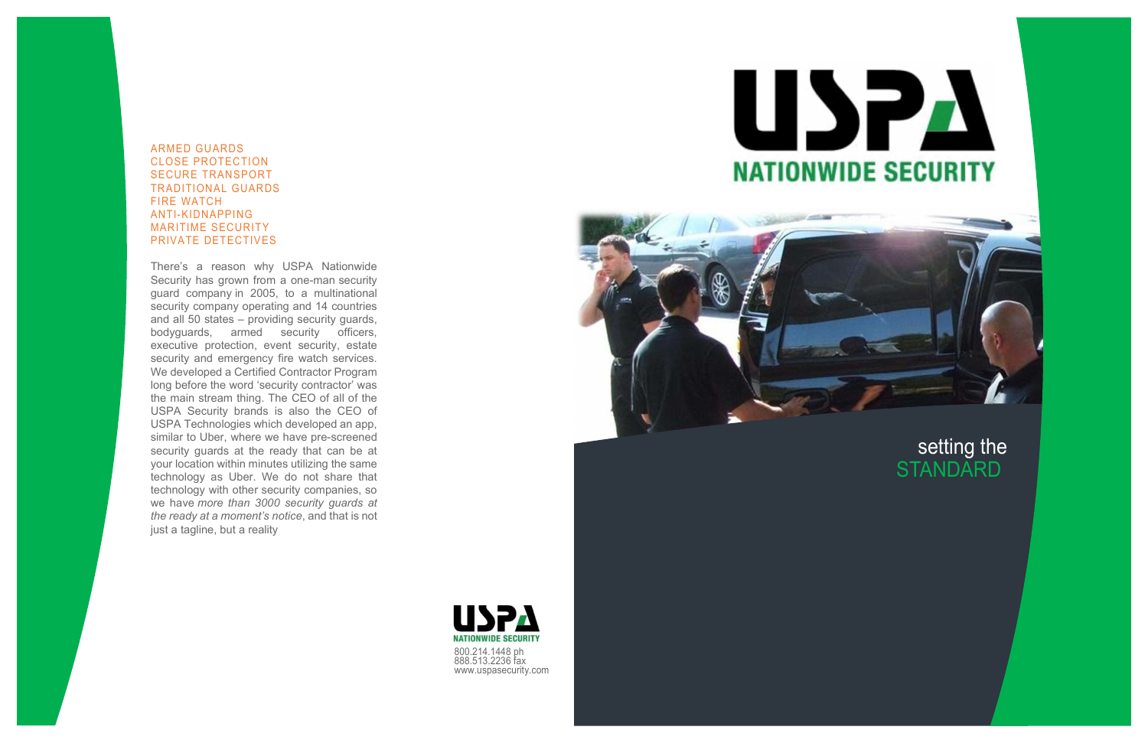# setting the **STANDARD**



## ARMED GUARDS CLOSE PROTECTION SECURE TRANSPORT TRADITIONAL GUARDS FIRE WATCH ANTI-KIDNAPPING MARITIME SECURITY PRIVATE DETECTIVES

There's a reason why USPA Nationwide Security has grown from a one-man security guard company in 2005, to a multinational security company operating and 14 countries and all 50 states – providing security guards, bodyguards, armed security officers, executive protection, event security, estate security and emergency fire watch services. We developed a Certified Contractor Program long before the word 'security contractor' was the main stream thing. The CEO of all of the USPA Security brands is also the CEO of USPA Technologies which developed an app, similar to Uber, where we have pre-screened security guards at the ready that can be at your location within minutes utilizing the same technology as Uber. We do not share that technology with other security companies, so we have more than 3000 security guards at the ready at a moment's notice, and that is not just a tagline, but a reality